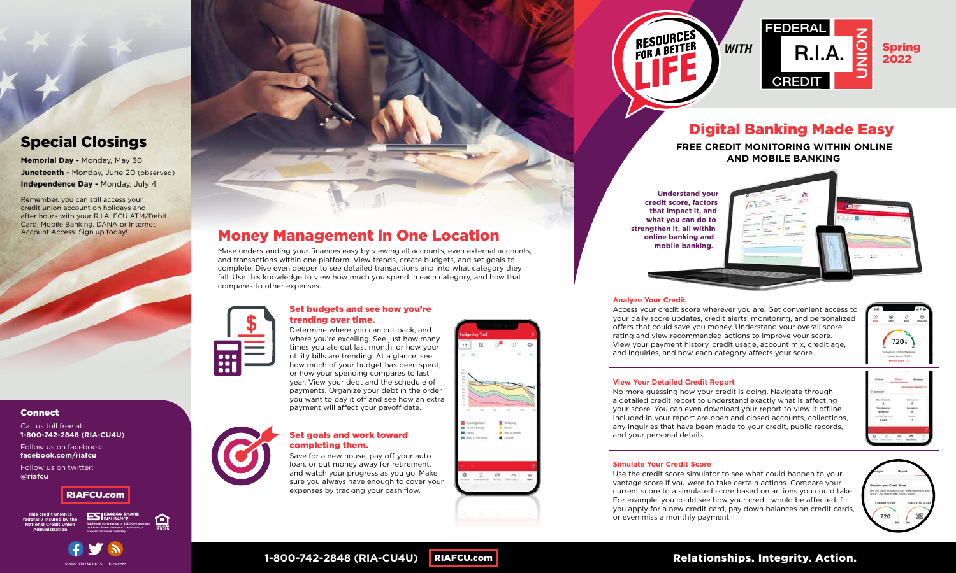Call us toll free at: **1-800-742-2848 (RIA-CU4U)**

Follow us on facebook: **facebook.com/riafcu**

Follow us on twitter: **@riafcu**

**This credit union is federally insured by the National Credit Union Administration**



**Additional coverage up to \$250,000 provided by Excess Share Insurance Corporation, a licensed insurance company.**

Α



## **1-800-742-2848 (RIA-CU4U)** RIAFCU.com Relationships. Integrity. Action.



## **Analyze Your Credit**

Access your credit score wherever you are. Get convenient access to your daily score updates, credit alerts, monitoring, and personalized offers that could save you money. Understand your overall score rating and view recommended actions to improve your score. View your payment history, credit usage, account mix, credit age, and inquiries, and how each category affects your score.

### **View Your Detailed Credit Report**

No more guessing how your credit is doing. Navigate through a detailed credit report to understand exactly what is affecting your score. You can even download your report to view it offline. Included in your report are open and closed accounts, collections, any inquiries that have been made to your credit, public records, and your personal details.

## **Simulate Your Credit Score**

## $\blacksquare$ completing them.  $\blacksquare$ Set goals and work toward

Use the credit score simulator to see what could happen to your vantage score if you were to take certain actions. Compare your current score to a simulated score based on actions you could take. For example, you could see how your credit would be affected if you apply for a new credit card, pay down balances on credit cards, or even miss a monthly payment.

## **Connect**

## **FREE CREDIT MONITORING WITHIN ONLINE AND MOBILE BANKING**



# 720



line balance<br>\$75,000

 $\overline{\cdot}$ 





**Understand your credit score, factors that impact it, and what you can do to strengthen it, all within online banking and mobile banking.** 



Money Management in One Location

# Make understanding your finances easy by viewing all accounts, even external accounts,

and transactions within one platform. View trends, create budgets, and set goals to complete. Dive even deeper to see detailed transactions and into what category they fall. Use this knowledge to view how much you spend in each category, and how that compares to other expenses.



## Set budgets and see how you're trending over time.



Determine where you can cut back, and where you're excelling. See just how many times you ate out last month, or how your utility bills are trending. At a glance, see how much of your budget has been spent, or how your spending compares to last year. View your debt and the schedule of payments. Organize your debt in the order you want to pay it off and see how an extra payment will affect your payoff date.



Save for a new house, pay off your auto loan, or put money away for retirement, and watch your progress as you go. Make sure you always have enough to cover your expenses by tracking your cash flow.



# Special Closings

**Memorial Day -** Monday, May 30 **Juneteenth - Monday, June 20 (observed) Independence Day -** Monday, July 4

Remember, you can still access your credit union account on holidays and after hours with your R.I.A. FCU ATM/Debit Card, Mobile Banking, DANA or Internet Account Access. Sign up today!